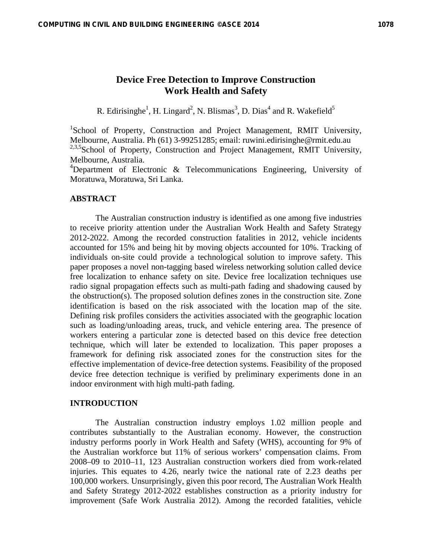# **Device Free Detection to Improve Construction Work Health and Safety**

R. Edirisinghe<sup>1</sup>, H. Lingard<sup>2</sup>, N. Blismas<sup>3</sup>, D. Dias<sup>4</sup> and R. Wakefield<sup>5</sup>

<sup>1</sup>School of Property, Construction and Project Management, RMIT University, Melbourne, Australia. Ph (61) 3-99251285; email: ruwini.edirisinghe@rmit.edu.au <sup>2,3,5</sup>School of Property, Construction and Project Management, RMIT University, Melbourne, Australia.

<sup>4</sup>Department of Electronic & Telecommunications Engineering, University of Moratuwa, Moratuwa, Sri Lanka.

# **ABSTRACT**

The Australian construction industry is identified as one among five industries to receive priority attention under the Australian Work Health and Safety Strategy 2012-2022. Among the recorded construction fatalities in 2012, vehicle incidents accounted for 15% and being hit by moving objects accounted for 10%. Tracking of individuals on-site could provide a technological solution to improve safety. This paper proposes a novel non-tagging based wireless networking solution called device free localization to enhance safety on site. Device free localization techniques use radio signal propagation effects such as multi-path fading and shadowing caused by the obstruction(s). The proposed solution defines zones in the construction site. Zone identification is based on the risk associated with the location map of the site. Defining risk profiles considers the activities associated with the geographic location such as loading/unloading areas, truck, and vehicle entering area. The presence of workers entering a particular zone is detected based on this device free detection technique, which will later be extended to localization. This paper proposes a framework for defining risk associated zones for the construction sites for the effective implementation of device-free detection systems. Feasibility of the proposed device free detection technique is verified by preliminary experiments done in an indoor environment with high multi-path fading.

# **INTRODUCTION**

The Australian construction industry employs 1.02 million people and contributes substantially to the Australian economy. However, the construction industry performs poorly in Work Health and Safety (WHS), accounting for 9% of the Australian workforce but 11% of serious workers' compensation claims. From 2008–09 to 2010–11, 123 Australian construction workers died from work-related injuries. This equates to 4.26, nearly twice the national rate of 2.23 deaths per 100,000 workers. Unsurprisingly, given this poor record, The Australian Work Health and Safety Strategy 2012-2022 establishes construction as a priority industry for improvement (Safe Work Australia 2012). Among the recorded fatalities, vehicle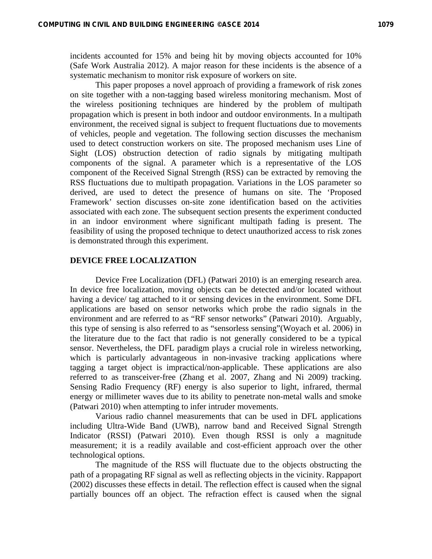This paper proposes a novel approach of providing a framework of risk zones on site together with a non-tagging based wireless monitoring mechanism. Most of the wireless positioning techniques are hindered by the problem of multipath propagation which is present in both indoor and outdoor environments. In a multipath environment, the received signal is subject to frequent fluctuations due to movements of vehicles, people and vegetation. The following section discusses the mechanism used to detect construction workers on site. The proposed mechanism uses Line of Sight (LOS) obstruction detection of radio signals by mitigating multipath components of the signal. A parameter which is a representative of the LOS component of the Received Signal Strength (RSS) can be extracted by removing the RSS fluctuations due to multipath propagation. Variations in the LOS parameter so derived, are used to detect the presence of humans on site. The 'Proposed Framework' section discusses on-site zone identification based on the activities associated with each zone. The subsequent section presents the experiment conducted in an indoor environment where significant multipath fading is present. The feasibility of using the proposed technique to detect unauthorized access to risk zones is demonstrated through this experiment.

# **DEVICE FREE LOCALIZATION**

Device Free Localization (DFL) (Patwari 2010) is an emerging research area. In device free localization, moving objects can be detected and/or located without having a device/ tag attached to it or sensing devices in the environment. Some DFL applications are based on sensor networks which probe the radio signals in the environment and are referred to as "RF sensor networks" (Patwari 2010). Arguably, this type of sensing is also referred to as "sensorless sensing"(Woyach et al. 2006) in the literature due to the fact that radio is not generally considered to be a typical sensor. Nevertheless, the DFL paradigm plays a crucial role in wireless networking, which is particularly advantageous in non-invasive tracking applications where tagging a target object is impractical/non-applicable. These applications are also referred to as transceiver-free (Zhang et al. 2007, Zhang and Ni 2009) tracking. Sensing Radio Frequency (RF) energy is also superior to light, infrared, thermal energy or millimeter waves due to its ability to penetrate non-metal walls and smoke (Patwari 2010) when attempting to infer intruder movements.

Various radio channel measurements that can be used in DFL applications including Ultra-Wide Band (UWB), narrow band and Received Signal Strength Indicator (RSSI) (Patwari 2010). Even though RSSI is only a magnitude measurement; it is a readily available and cost-efficient approach over the other technological options.

The magnitude of the RSS will fluctuate due to the objects obstructing the path of a propagating RF signal as well as reflecting objects in the vicinity. Rappaport (2002) discusses these effects in detail. The reflection effect is caused when the signal partially bounces off an object. The refraction effect is caused when the signal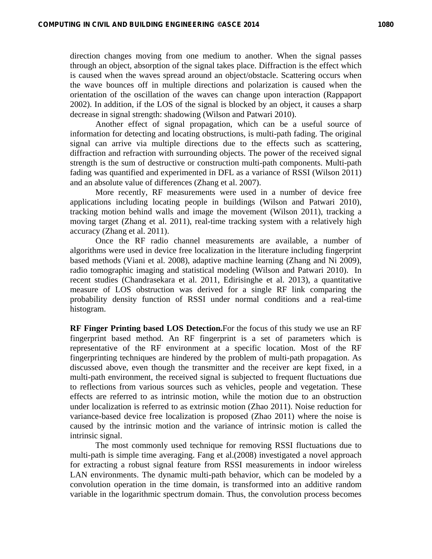direction changes moving from one medium to another. When the signal passes through an object, absorption of the signal takes place. Diffraction is the effect which is caused when the waves spread around an object/obstacle. Scattering occurs when the wave bounces off in multiple directions and polarization is caused when the orientation of the oscillation of the waves can change upon interaction (Rappaport 2002). In addition, if the LOS of the signal is blocked by an object, it causes a sharp decrease in signal strength: shadowing (Wilson and Patwari 2010).

Another effect of signal propagation, which can be a useful source of information for detecting and locating obstructions, is multi-path fading. The original signal can arrive via multiple directions due to the effects such as scattering, diffraction and refraction with surrounding objects. The power of the received signal strength is the sum of destructive or construction multi-path components. Multi-path fading was quantified and experimented in DFL as a variance of RSSI (Wilson 2011) and an absolute value of differences (Zhang et al. 2007).

More recently, RF measurements were used in a number of device free applications including locating people in buildings (Wilson and Patwari 2010), tracking motion behind walls and image the movement (Wilson 2011), tracking a moving target (Zhang et al. 2011), real-time tracking system with a relatively high accuracy (Zhang et al. 2011).

Once the RF radio channel measurements are available, a number of algorithms were used in device free localization in the literature including fingerprint based methods (Viani et al. 2008), adaptive machine learning (Zhang and Ni 2009), radio tomographic imaging and statistical modeling (Wilson and Patwari 2010). In recent studies (Chandrasekara et al. 2011, Edirisinghe et al. 2013), a quantitative measure of LOS obstruction was derived for a single RF link comparing the probability density function of RSSI under normal conditions and a real-time histogram.

**RF Finger Printing based LOS Detection.**For the focus of this study we use an RF fingerprint based method. An RF fingerprint is a set of parameters which is representative of the RF environment at a specific location. Most of the RF fingerprinting techniques are hindered by the problem of multi-path propagation. As discussed above, even though the transmitter and the receiver are kept fixed, in a multi-path environment, the received signal is subjected to frequent fluctuations due to reflections from various sources such as vehicles, people and vegetation. These effects are referred to as intrinsic motion, while the motion due to an obstruction under localization is referred to as extrinsic motion (Zhao 2011). Noise reduction for variance-based device free localization is proposed (Zhao 2011) where the noise is caused by the intrinsic motion and the variance of intrinsic motion is called the intrinsic signal.

The most commonly used technique for removing RSSI fluctuations due to multi-path is simple time averaging. Fang et al.(2008) investigated a novel approach for extracting a robust signal feature from RSSI measurements in indoor wireless LAN environments. The dynamic multi-path behavior, which can be modeled by a convolution operation in the time domain, is transformed into an additive random variable in the logarithmic spectrum domain. Thus, the convolution process becomes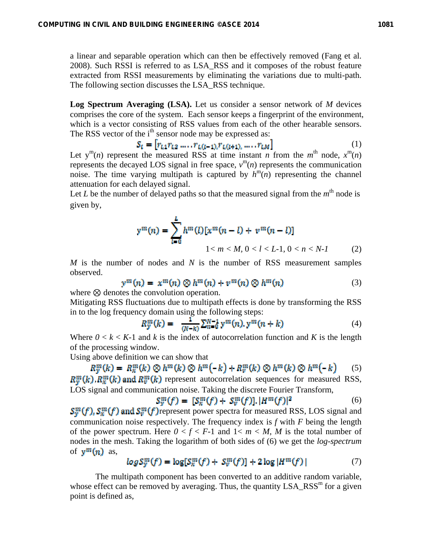a linear and separable operation which can then be effectively removed (Fang et al. 2008). Such RSSI is referred to as LSA\_RSS and it composes of the robust feature extracted from RSSI measurements by eliminating the variations due to multi-path. The following section discusses the LSA\_RSS technique.

**Log Spectrum Averaging (LSA).** Let us consider a sensor network of *M* devices comprises the core of the system. Each sensor keeps a fingerprint of the environment, which is a vector consisting of RSS values from each of the other hearable sensors. The RSS vector of the i<sup>th</sup> sensor node may be expressed as:

$$
S_t = [r_{t,1}r_{t,2} \dots r_{t,(t-1)}r_{t,(t+1)}, \dots r_{t,M}]
$$
 (1)  
Let  $y^m(n)$  represent the measured RSS at time instant *n* from the  $m^{\text{th}}$  node,  $x^m(n)$   
represents the decayed LOS signal in free space,  $y^m(n)$  represents the communication  
noise. The time varying multipath is captured by  $h^m(n)$  representing the channel  
attention for each delayed signal.

Let *L* be the number of delayed paths so that the measured signal from the  $m<sup>th</sup>$  node is given by,

$$
y^{m}(n) = \sum_{l=0}^{L} h^{m}(l) [x^{m}(n-l) + v^{m}(n-l)]
$$
  
1 < m < M, 0 < l < L-1, 0 < n < N-1 (2)

*M* is the number of nodes and *N* is the number of RSS measurement samples observed.

$$
y^{m}(n) = x^{m}(n) \otimes h^{m}(n) + v^{m}(n) \otimes h^{m}(n)
$$
\n(3)

where ⊗ denotes the convolution operation.

Mitigating RSS fluctuations due to multipath effects is done by transforming the RSS in to the log frequency domain using the following steps:

$$
R_{\mathcal{Y}}^{m}(k) = \frac{1}{(N-k)} \sum_{n=0}^{N-1} y^{m}(n) \cdot y^{m}(n+k) \tag{4}
$$

Where  $0 < k < K-1$  and k is the index of autocorrelation function and K is the length of the processing window.

Using above definition we can show that

 $R_{\mathcal{X}}^{m}(k) = R_{\mathcal{X}}^{m}(k) \otimes h^{m}(k) \otimes h^{m}(-k) + R_{\mathcal{Y}}^{m}(k) \otimes h^{m}(k) \otimes h^{m}(-k)$  (5)  $R_w^m(k)$ ,  $R_w^m(k)$  and  $R_w^m(k)$  represent autocorrelation sequences for measured RSS, LOS signal and communication noise. Taking the discrete Fourier Transform,

$$
S_{\mathcal{Y}}^{m}(f) = [S_{\kappa}^{m}(f) + S_{\kappa}^{m}(f)], |H^{m}(f)|^{2}
$$
\n(6)

 $\mathcal{S}_{\mathcal{C}}^m(f)$ ,  $\mathcal{S}_{\mathcal{R}}^m(f)$  and  $\mathcal{S}_{\mathcal{C}}^m(f)$  represent power spectra for measured RSS, LOS signal and communication noise respectively. The frequency index is *f* with *F* being the length of the power spectrum. Here  $0 < f < F-1$  and  $1 < m < M$ , M is the total number of nodes in the mesh. Taking the logarithm of both sides of (6) we get the *log-spectrum* of  $y^m(n)$  as,

$$
log S_y^m(f) = log[S_x^m(f) + S_y^m(f)] + 2 log|H^m(f)|
$$
 (7)

The multipath component has been converted to an additive random variable, whose effect can be removed by averaging. Thus, the quantity  $LSA_RSS^m$  for a given point is defined as,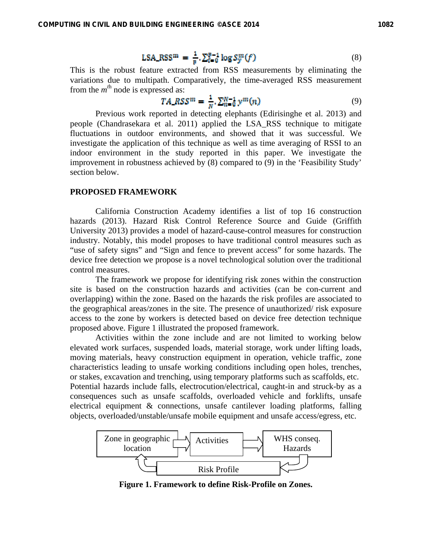$$
\text{LSA\_RSS}^{\text{m}} = \frac{1}{\text{F}} \cdot \sum_{f=0}^{\text{F}-1} \log S_{\mathcal{Y}}^{\text{m}}(f) \tag{8}
$$

This is the robust feature extracted from RSS measurements by eliminating the variations due to multipath. Comparatively, the time-averaged RSS measurement from the  $m<sup>th</sup>$  node is expressed as:

$$
TA\_RSS^m = \frac{1}{N} \cdot \sum_{n=0}^{N-1} y^m(n) \tag{9}
$$

Previous work reported in detecting elephants (Edirisinghe et al. 2013) and people (Chandrasekara et al. 2011) applied the LSA\_RSS technique to mitigate fluctuations in outdoor environments, and showed that it was successful. We investigate the application of this technique as well as time averaging of RSSI to an indoor environment in the study reported in this paper. We investigate the improvement in robustness achieved by (8) compared to (9) in the 'Feasibility Study' section below.

#### **PROPOSED FRAMEWORK**

California Construction Academy identifies a list of top 16 construction hazards (2013). Hazard Risk Control Reference Source and Guide (Griffith University 2013) provides a model of hazard-cause-control measures for construction industry. Notably, this model proposes to have traditional control measures such as "use of safety signs" and "Sign and fence to prevent access" for some hazards. The device free detection we propose is a novel technological solution over the traditional control measures.

The framework we propose for identifying risk zones within the construction site is based on the construction hazards and activities (can be con-current and overlapping) within the zone. Based on the hazards the risk profiles are associated to the geographical areas/zones in the site. The presence of unauthorized/ risk exposure access to the zone by workers is detected based on device free detection technique proposed above. Figure 1 illustrated the proposed framework.

Activities within the zone include and are not limited to working below elevated work surfaces, suspended loads, material storage, work under lifting loads, moving materials, heavy construction equipment in operation, vehicle traffic, zone characteristics leading to unsafe working conditions including open holes, trenches, or stakes, excavation and trenching, using temporary platforms such as scaffolds, etc. Potential hazards include falls, electrocution/electrical, caught-in and struck-by as a consequences such as unsafe scaffolds, overloaded vehicle and forklifts, unsafe electrical equipment & connections, unsafe cantilever loading platforms, falling objects, overloaded/unstable/unsafe mobile equipment and unsafe access/egress, etc.



**Figure 1. Framework to define Risk-Profile on Zones.**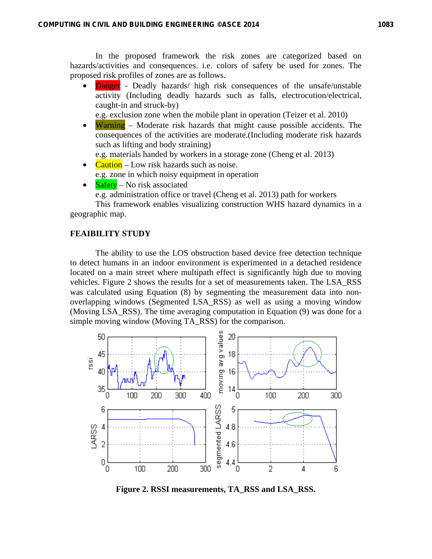In the proposed framework the risk zones are categorized based on hazards/activities and consequences. i.e. colors of safety be used for zones. The proposed risk profiles of zones are as follows.

**Danger** - Deadly hazards/ high risk consequences of the unsafe/unstable activity (Including deadly hazards such as falls, electrocution/electrical, caught-in and struck-by)

e.g. exclusion zone when the mobile plant in operation (Teizer et al. 2010)

• Warning – Moderate risk hazards that might cause possible accidents. The consequences of the activities are moderate.(Including moderate risk hazards such as lifting and body straining)

e.g. materials handed by workers in a storage zone (Cheng et al. 2013)

- Caution Low risk hazards such as noise. e.g. zone in which noisy equipment in operation
- Safety No risk associated

e.g. administration office or travel (Cheng et al. 2013) path for workers

This framework enables visualizing construction WHS hazard dynamics in a geographic map.

# **FEAIBILITY STUDY**

The ability to use the LOS obstruction based device free detection technique to detect humans in an indoor environment is experimented in a detached residence located on a main street where multipath effect is significantly high due to moving vehicles. Figure 2 shows the results for a set of measurements taken. The LSA\_RSS was calculated using Equation (8) by segmenting the measurement data into nonoverlapping windows (Segmented LSA\_RSS) as well as using a moving window (Moving LSA\_RSS). The time averaging computation in Equation (9) was done for a simple moving window (Moving TA\_RSS) for the comparison.



**Figure 2. RSSI measurements, TA\_RSS and LSA\_RSS.**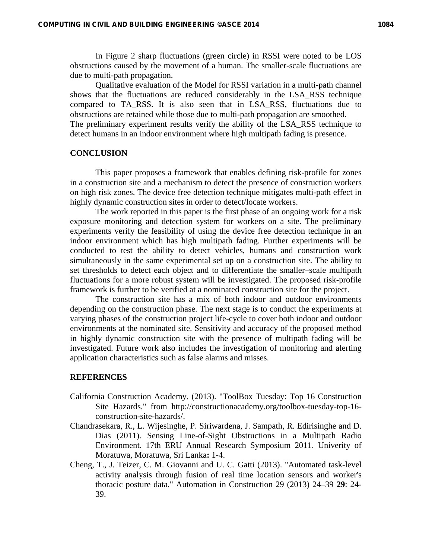In Figure 2 sharp fluctuations (green circle) in RSSI were noted to be LOS obstructions caused by the movement of a human. The smaller-scale fluctuations are due to multi-path propagation.

Qualitative evaluation of the Model for RSSI variation in a multi-path channel shows that the fluctuations are reduced considerably in the LSA\_RSS technique compared to TA\_RSS. It is also seen that in LSA\_RSS, fluctuations due to obstructions are retained while those due to multi-path propagation are smoothed. The preliminary experiment results verify the ability of the LSA\_RSS technique to detect humans in an indoor environment where high multipath fading is presence.

# **CONCLUSION**

This paper proposes a framework that enables defining risk-profile for zones in a construction site and a mechanism to detect the presence of construction workers on high risk zones. The device free detection technique mitigates multi-path effect in highly dynamic construction sites in order to detect/locate workers.

The work reported in this paper is the first phase of an ongoing work for a risk exposure monitoring and detection system for workers on a site. The preliminary experiments verify the feasibility of using the device free detection technique in an indoor environment which has high multipath fading. Further experiments will be conducted to test the ability to detect vehicles, humans and construction work simultaneously in the same experimental set up on a construction site. The ability to set thresholds to detect each object and to differentiate the smaller–scale multipath fluctuations for a more robust system will be investigated. The proposed risk-profile framework is further to be verified at a nominated construction site for the project.

The construction site has a mix of both indoor and outdoor environments depending on the construction phase. The next stage is to conduct the experiments at varying phases of the construction project life-cycle to cover both indoor and outdoor environments at the nominated site. Sensitivity and accuracy of the proposed method in highly dynamic construction site with the presence of multipath fading will be investigated. Future work also includes the investigation of monitoring and alerting application characteristics such as false alarms and misses.

#### **REFERENCES**

- California Construction Academy. (2013). "ToolBox Tuesday: Top 16 Construction Site Hazards." from http://constructionacademy.org/toolbox-tuesday-top-16 construction-site-hazards/.
- Chandrasekara, R., L. Wijesinghe, P. Siriwardena, J. Sampath, R. Edirisinghe and D. Dias (2011). Sensing Line-of-Sight Obstructions in a Multipath Radio Environment. 17th ERU Annual Research Symposium 2011. Univerity of Moratuwa, Moratuwa, Sri Lanka**:** 1-4.
- Cheng, T., J. Teizer, C. M. Giovanni and U. C. Gatti (2013). "Automated task-level activity analysis through fusion of real time location sensors and worker's thoracic posture data." Automation in Construction 29 (2013) 24–39 **29**: 24- 39.